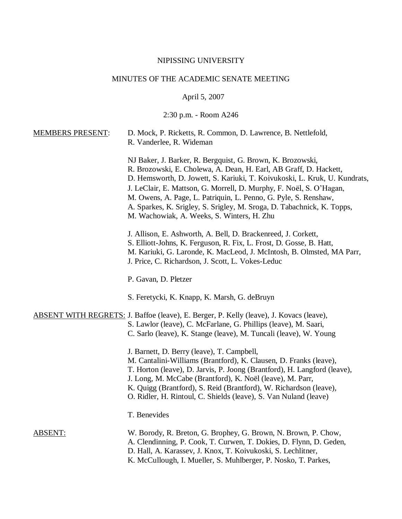## NIPISSING UNIVERSITY

# MINUTES OF THE ACADEMIC SENATE MEETING

# April 5, 2007

# 2:30 p.m. - Room A246

| <b>MEMBERS PRESENT:</b> | D. Mock, P. Ricketts, R. Common, D. Lawrence, B. Nettlefold,<br>R. Vanderlee, R. Wideman                                                                                                                                                                                                                                                                                                                                                                                       |
|-------------------------|--------------------------------------------------------------------------------------------------------------------------------------------------------------------------------------------------------------------------------------------------------------------------------------------------------------------------------------------------------------------------------------------------------------------------------------------------------------------------------|
|                         | NJ Baker, J. Barker, R. Bergquist, G. Brown, K. Brozowski,<br>R. Brozowski, E. Cholewa, A. Dean, H. Earl, AB Graff, D. Hackett,<br>D. Hemsworth, D. Jowett, S. Kariuki, T. Koivukoski, L. Kruk, U. Kundrats,<br>J. LeClair, E. Mattson, G. Morrell, D. Murphy, F. Noël, S. O'Hagan,<br>M. Owens, A. Page, L. Patriquin, L. Penno, G. Pyle, S. Renshaw,<br>A. Sparkes, K. Srigley, S. Srigley, M. Sroga, D. Tabachnick, K. Topps,<br>M. Wachowiak, A. Weeks, S. Winters, H. Zhu |
|                         | J. Allison, E. Ashworth, A. Bell, D. Brackenreed, J. Corkett,<br>S. Elliott-Johns, K. Ferguson, R. Fix, L. Frost, D. Gosse, B. Hatt,<br>M. Kariuki, G. Laronde, K. MacLeod, J. McIntosh, B. Olmsted, MA Parr,<br>J. Price, C. Richardson, J. Scott, L. Vokes-Leduc                                                                                                                                                                                                             |
|                         | P. Gavan, D. Pletzer                                                                                                                                                                                                                                                                                                                                                                                                                                                           |
|                         | S. Feretycki, K. Knapp, K. Marsh, G. deBruyn                                                                                                                                                                                                                                                                                                                                                                                                                                   |
|                         | <b>ABSENT WITH REGRETS: J. Baffoe (leave), E. Berger, P. Kelly (leave), J. Kovacs (leave),</b><br>S. Lawlor (leave), C. McFarlane, G. Phillips (leave), M. Saari,<br>C. Sarlo (leave), K. Stange (leave), M. Tuncali (leave), W. Young                                                                                                                                                                                                                                         |
|                         | J. Barnett, D. Berry (leave), T. Campbell,<br>M. Cantalini-Williams (Brantford), K. Clausen, D. Franks (leave),<br>T. Horton (leave), D. Jarvis, P. Joong (Brantford), H. Langford (leave),<br>J. Long, M. McCabe (Brantford), K. Noël (leave), M. Parr,<br>K. Quigg (Brantford), S. Reid (Brantford), W. Richardson (leave),<br>O. Ridler, H. Rintoul, C. Shields (leave), S. Van Nuland (leave)                                                                              |
|                         | T. Benevides                                                                                                                                                                                                                                                                                                                                                                                                                                                                   |
| <b>ABSENT:</b>          | W. Borody, R. Breton, G. Brophey, G. Brown, N. Brown, P. Chow,<br>A. Clendinning, P. Cook, T. Curwen, T. Dokies, D. Flynn, D. Geden,<br>D. Hall, A. Karassev, J. Knox, T. Koivukoski, S. Lechlitner,<br>K. McCullough, I. Mueller, S. Muhlberger, P. Nosko, T. Parkes,                                                                                                                                                                                                         |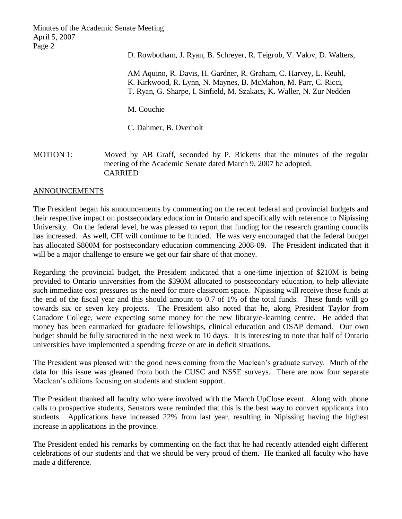D. Rowbotham, J. Ryan, B. Schreyer, R. Teigrob, V. Valov, D. Walters,

AM Aquino, R. Davis, H. Gardner, R. Graham, C. Harvey, L. Keuhl, K. Kirkwood, R. Lynn, N. Maynes, B. McMahon, M. Parr, C. Ricci, T. Ryan, G. Sharpe, I. Sinfield, M. Szakacs, K. Waller, N. Zur Nedden

M. Couchie

C. Dahmer, B. Overholt

MOTION 1: Moved by AB Graff, seconded by P. Ricketts that the minutes of the regular meeting of the Academic Senate dated March 9, 2007 be adopted. CARRIED

#### ANNOUNCEMENTS

The President began his announcements by commenting on the recent federal and provincial budgets and their respective impact on postsecondary education in Ontario and specifically with reference to Nipissing University. On the federal level, he was pleased to report that funding for the research granting councils has increased. As well, CFI will continue to be funded. He was very encouraged that the federal budget has allocated \$800M for postsecondary education commencing 2008-09. The President indicated that it will be a major challenge to ensure we get our fair share of that money.

Regarding the provincial budget, the President indicated that a one-time injection of \$210M is being provided to Ontario universities from the \$390M allocated to postsecondary education, to help alleviate such immediate cost pressures as the need for more classroom space. Nipissing will receive these funds at the end of the fiscal year and this should amount to 0.7 of 1% of the total funds. These funds will go towards six or seven key projects. The President also noted that he, along President Taylor from Canadore College, were expecting some money for the new library/e-learning centre. He added that money has been earmarked for graduate fellowships, clinical education and OSAP demand. Our own budget should be fully structured in the next week to 10 days. It is interesting to note that half of Ontario universities have implemented a spending freeze or are in deficit situations.

The President was pleased with the good news coming from the Maclean's graduate survey. Much of the data for this issue was gleaned from both the CUSC and NSSE surveys. There are now four separate Maclean's editions focusing on students and student support.

The President thanked all faculty who were involved with the March UpClose event. Along with phone calls to prospective students, Senators were reminded that this is the best way to convert applicants into students. Applications have increased 22% from last year, resulting in Nipissing having the highest increase in applications in the province.

The President ended his remarks by commenting on the fact that he had recently attended eight different celebrations of our students and that we should be very proud of them. He thanked all faculty who have made a difference.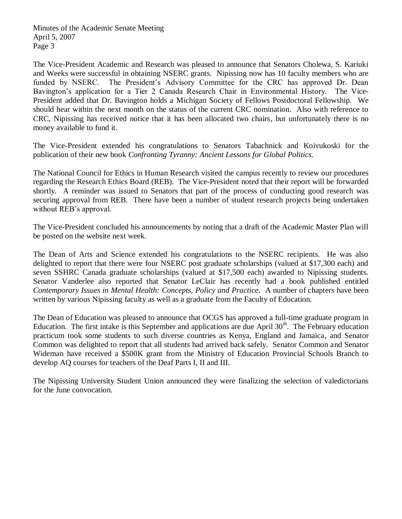The Vice-President Academic and Research was pleased to announce that Senators Cholewa, S. Kariuki and Weeks were successful in obtaining NSERC grants. Nipissing now has 10 faculty members who are funded by NSERC. The President's Advisory Committee for the CRC has approved Dr. Dean Bavington's application for a Tier 2 Canada Research Chair in Environmental History. The Vice-President added that Dr. Bavington holds a Michigan Society of Fellows Postdoctoral Fellowship. We should hear within the next month on the status of the current CRC nomination. Also with reference to CRC, Nipissing has received notice that it has been allocated two chairs, but unfortunately there is no money available to fund it.

The Vice-President extended his congratulations to Senators Tabachnick and Koivukoski for the publication of their new book *Confronting Tyranny: Ancient Lessons for Global Politics.* 

The National Council for Ethics in Human Research visited the campus recently to review our procedures regarding the Research Ethics Board (REB). The Vice-President noted that their report will be forwarded shortly. A reminder was issued to Senators that part of the process of conducting good research was securing approval from REB. There have been a number of student research projects being undertaken without REB's approval.

The Vice-President concluded his announcements by noting that a draft of the Academic Master Plan will be posted on the website next week.

The Dean of Arts and Science extended his congratulations to the NSERC recipients. He was also delighted to report that there were four NSERC post graduate scholarships (valued at \$17,300 each) and seven SSHRC Canada graduate scholarships (valued at \$17,500 each) awarded to Nipissing students. Senator Vanderlee also reported that Senator LeClair has recently had a book published entitled *Contemporary Issues in Mental Health: Concepts, Policy and Practice*. A number of chapters have been written by various Nipissing faculty as well as a graduate from the Faculty of Education.

The Dean of Education was pleased to announce that OCGS has approved a full-time graduate program in Education. The first intake is this September and applications are due April  $30<sup>th</sup>$ . The February education practicum took some students to such diverse countries as Kenya, England and Jamaica, and Senator Common was delighted to report that all students had arrived back safely. Senator Common and Senator Wideman have received a \$500K grant from the Ministry of Education Provincial Schools Branch to develop AQ courses for teachers of the Deaf Parts I, II and III.

The Nipissing University Student Union announced they were finalizing the selection of valedictorians for the June convocation.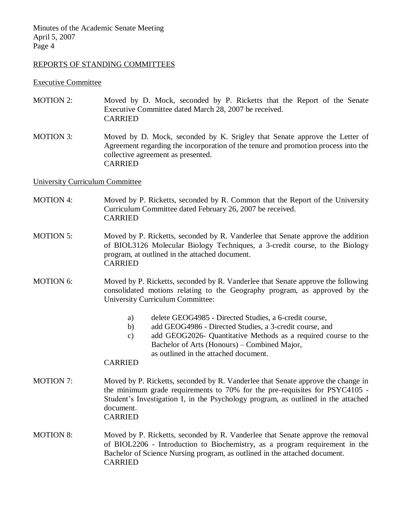#### REPORTS OF STANDING COMMITTEES

Executive Committee

- MOTION 2: Moved by D. Mock, seconded by P. Ricketts that the Report of the Senate Executive Committee dated March 28, 2007 be received. CARRIED
- MOTION 3: Moved by D. Mock, seconded by K. Srigley that Senate approve the Letter of Agreement regarding the incorporation of the tenure and promotion process into the collective agreement as presented. CARRIED

#### University Curriculum Committee

- MOTION 4: Moved by P. Ricketts, seconded by R. Common that the Report of the University Curriculum Committee dated February 26, 2007 be received. CARRIED
- MOTION 5: Moved by P. Ricketts, seconded by R. Vanderlee that Senate approve the addition of BIOL3126 Molecular Biology Techniques, a 3-credit course, to the Biology program, at outlined in the attached document. CARRIED
- MOTION 6: Moved by P. Ricketts, seconded by R. Vanderlee that Senate approve the following consolidated motions relating to the Geography program, as approved by the University Curriculum Committee:
	- a) delete GEOG4985 Directed Studies, a 6-credit course,
	- b) add GEOG4986 Directed Studies, a 3-credit course, and
	- c) add GEOG2026- Quantitative Methods as a required course to the Bachelor of Arts (Honours) – Combined Major, as outlined in the attached document.

#### CARRIED

- MOTION 7: Moved by P. Ricketts, seconded by R. Vanderlee that Senate approve the change in the minimum grade requirements to 70% for the pre-requisites for PSYC4105 - Student's Investigation I, in the Psychology program, as outlined in the attached document. CARRIED
- MOTION 8: Moved by P. Ricketts, seconded by R. Vanderlee that Senate approve the removal of BIOL2206 - Introduction to Biochemistry, as a program requirement in the Bachelor of Science Nursing program, as outlined in the attached document. CARRIED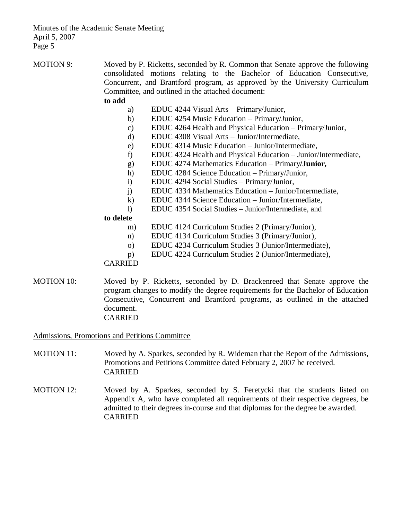- MOTION 9: Moved by P. Ricketts, seconded by R. Common that Senate approve the following consolidated motions relating to the Bachelor of Education Consecutive, Concurrent, and Brantford program, as approved by the University Curriculum Committee, and outlined in the attached document: **to add**  a) EDUC 4244 Visual Arts – Primary/Junior, b) EDUC 4254 Music Education – Primary/Junior, c) EDUC 4264 Health and Physical Education – Primary/Junior, d) EDUC 4308 Visual Arts – Junior/Intermediate, e) EDUC 4314 Music Education – Junior/Intermediate, f) EDUC 4324 Health and Physical Education – Junior/Intermediate, g) EDUC 4274 Mathematics Education – Primary**/Junior,** h) EDUC 4284 Science Education – Primary/Junior, i) EDUC 4294 Social Studies – Primary/Junior, j) EDUC 4334 Mathematics Education – Junior/Intermediate, k) EDUC 4344 Science Education – Junior/Intermediate, l) EDUC 4354 Social Studies – Junior/Intermediate, and **to delete** m) EDUC 4124 Curriculum Studies 2 (Primary/Junior),
	- n) EDUC 4134 Curriculum Studies 3 (Primary/Junior),
	- o) EDUC 4234 Curriculum Studies 3 (Junior/Intermediate),
	- p) EDUC 4224 Curriculum Studies 2 (Junior/Intermediate),

CARRIED

MOTION 10: Moved by P. Ricketts, seconded by D. Brackenreed that Senate approve the program changes to modify the degree requirements for the Bachelor of Education Consecutive, Concurrent and Brantford programs, as outlined in the attached document. CARRIED

Admissions, Promotions and Petitions Committee

- MOTION 11: Moved by A. Sparkes, seconded by R. Wideman that the Report of the Admissions, Promotions and Petitions Committee dated February 2, 2007 be received. CARRIED
- MOTION 12: Moved by A. Sparkes, seconded by S. Feretycki that the students listed on Appendix A, who have completed all requirements of their respective degrees, be admitted to their degrees in-course and that diplomas for the degree be awarded. CARRIED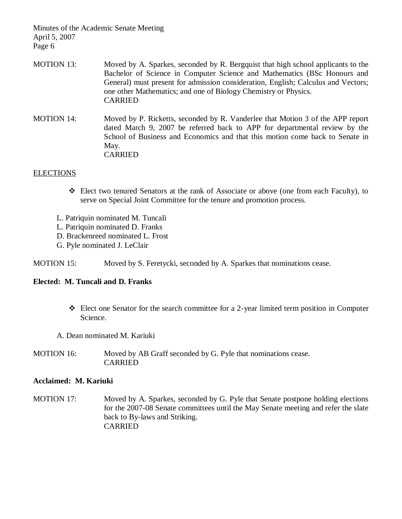- MOTION 13: Moved by A. Sparkes, seconded by R. Bergquist that high school applicants to the Bachelor of Science in Computer Science and Mathematics (BSc Honours and General) must present for admission consideration, English; Calculus and Vectors; one other Mathematics; and one of Biology Chemistry or Physics. CARRIED
- MOTION 14: Moved by P. Ricketts, seconded by R. Vanderlee that Motion 3 of the APP report dated March 9, 2007 be referred back to APP for departmental review by the School of Business and Economics and that this motion come back to Senate in May. CARRIED

#### ELECTIONS

- Elect two tenured Senators at the rank of Associate or above (one from each Faculty), to serve on Special Joint Committee for the tenure and promotion process.
- L. Patriquin nominated M. Tuncali
- L. Patriquin nominated D. Franks
- D. Brackenreed nominated L. Frost
- G. Pyle nominated J. LeClair

MOTION 15: Moved by S. Feretycki, seconded by A. Sparkes that nominations cease.

### **Elected: M. Tuncali and D. Franks**

- Elect one Senator for the search committee for a 2-year limited term position in Computer Science.
- A. Dean nominated M. Kariuki
- MOTION 16: Moved by AB Graff seconded by G. Pyle that nominations cease. CARRIED

#### **Acclaimed: M. Kariuki**

MOTION 17: Moved by A. Sparkes, seconded by G. Pyle that Senate postpone holding elections for the 2007-08 Senate committees until the May Senate meeting and refer the slate back to By-laws and Striking. CARRIED